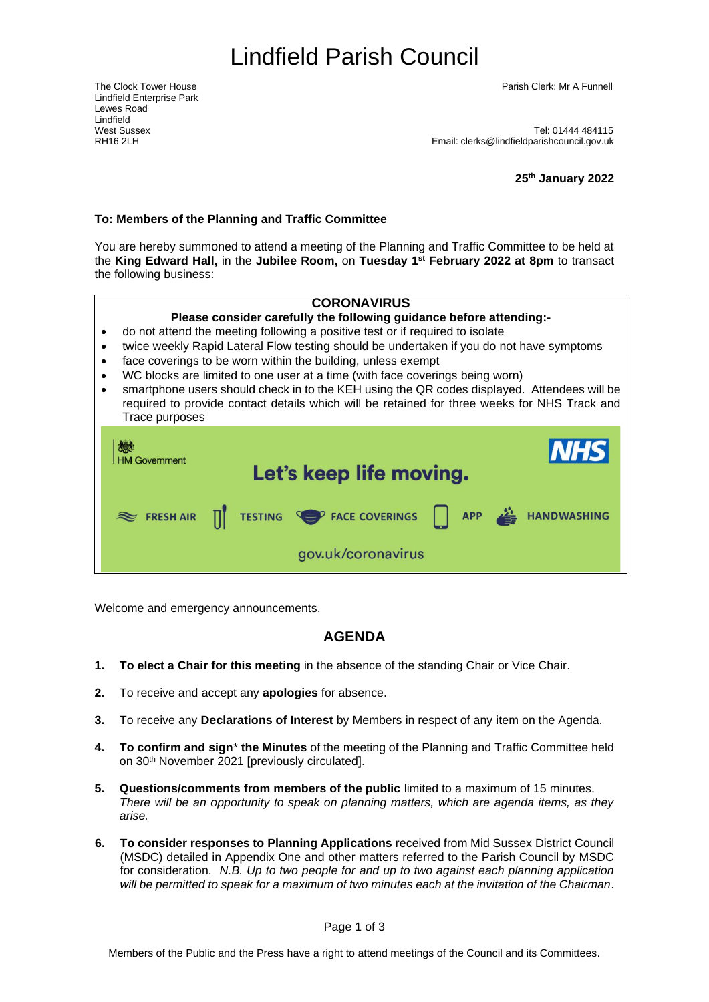# <span id="page-0-1"></span>Lindfield Parish Council

Lindfield Enterprise Park Lewes Road Lindfield<br>West Sussex

The Clock Tower House Parish Clerk: Mr A Funnell

West Sussex<br>RH16 2l H<br>RH16 2l H Email: [clerks@lindfieldparishcouncil.gov.uk](mailto:clerks@lindfieldparishcouncil.gov.uk)

**25th January 2022**

#### **To: Members of the Planning and Traffic Committee**

You are hereby summoned to attend a meeting of the Planning and Traffic Committee to be held at the **King Edward Hall,** in the **Jubilee Room,** on **Tuesday 1 st February 2022 at 8pm** to transact the following business:

#### <span id="page-0-0"></span>**CORONAVIRUS**

#### **Please consider carefully the following guidance before attending:-**

- do not attend the meeting following a positive test or if required to isolate
- twice weekly Rapid Lateral Flow testing should be undertaken if you do not have symptoms
- face coverings to be worn within the building, unless exempt
- WC blocks are limited to one user at a time (with face coverings being worn)
- smartphone users should check in to the KEH using the QR codes displayed. Attendees will be required to provide contact details which will be retained for three weeks for NHS Track and Trace purposes

| 燃<br><b>HM Government</b> | <b>INHS</b><br>Let's keep life moving.       |  |  |  |  |  |  |
|---------------------------|----------------------------------------------|--|--|--|--|--|--|
|                           | FRESH AIR TESTING TESTING FACE COVERINGS APP |  |  |  |  |  |  |
|                           | gov.uk/coronavirus                           |  |  |  |  |  |  |

Welcome and emergency announcements.

## **AGENDA**

- **1. To elect a Chair for this meeting** in the absence of the standing Chair or Vice Chair.
- **2.** To receive and accept any **apologies** for absence.
- **3.** To receive any **Declarations of Interest** by Members in respect of any item on the Agenda.
- **4. To confirm and sign**\* **the Minutes** of the meeting of the Planning and Traffic Committee held on 30th November 2021 [previously circulated].
- **5. Questions/comments from members of the public** limited to a maximum of 15 minutes. *There will be an opportunity to speak on planning matters, which are agenda items, as they arise.*
- **6. To consider responses to Planning Applications** received from Mid Sussex District Council (MSDC) detailed in Appendix One and other matters referred to the Parish Council by MSDC for consideration. *N.B. Up to two people for and up to two against each planning application will be permitted to speak for a maximum of two minutes each at the invitation of the Chairman*.

Page 1 of 3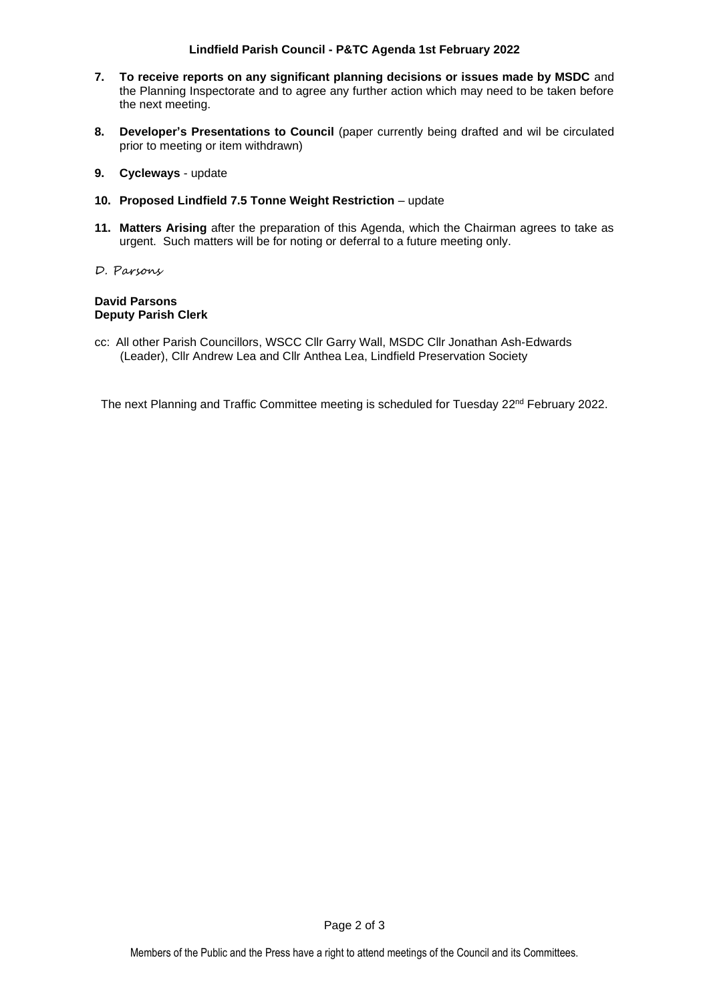### **Lindfield Parish Council - P&TC Agenda 1st [February](#page-0-0) 2022**

- **7. To receive reports on any significant planning decisions or issues made by MSDC** and the Planning Inspectorate and to agree any further action which may need to be taken before the next meeting.
- **8. Developer's Presentations to Council** (paper currently being drafted and wil be circulated prior to meeting or item withdrawn)
- **9. Cycleways** update
- **10. Proposed Lindfield 7.5 Tonne Weight Restriction**  update
- **11. Matters Arising** after the preparation of this Agenda, which the Chairman agrees to take as urgent. Such matters will be for noting or deferral to a future meeting only.
- D. Parsons

## **David Parsons Deputy Parish Clerk**

cc: All other Parish Councillors, WSCC Cllr Garry Wall, MSDC Cllr Jonathan Ash-Edwards (Leader), Cllr Andrew Lea and Cllr Anthea Lea, Lindfield Preservation Society

The next Planning and Traffic Committee meeting is scheduled for Tuesday 22<sup>nd</sup> February 2022.